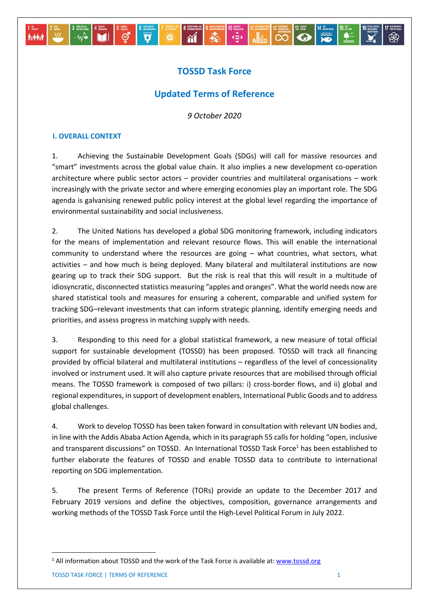# **TOSSD Task Force**

 $\overline{\mathbf{v}}$ 

一道

 $\begin{array}{|c|c|c|c|c|c|c|c|c|} \hline \text{sum} & 0 & \text{sum} & 0 & \text{sum} & 0 & \text{sum} & 0 & \text{sum} & 0 & \text{sum} & 0 & \text{sum} & 0 & \text{sum} & 0 & \text{sum} & 0 & \text{sum} & 0 & \text{max} & 0 & \text{max} & 0 & \text{max} & 0 & \text{max} & 0 & \text{max} & 0 & \text{max} & 0 & \text{max} & 0 & \text{max} & 0 & \text{max} & 0 & \text{max} & 0 & \text{max} & 0 & \text{$ 

# **Updated Terms of Reference**

*9 October 2020* 

## **I. OVERALL CONTEXT**

**M** 

 $-\omega$ 

**Avenue** 

් ල්

1. Achieving the Sustainable Development Goals (SDGs) will call for massive resources and "smart" investments across the global value chain. It also implies a new development co-operation architecture where public sector actors – provider countries and multilateral organisations – work increasingly with the private sector and where emerging economies play an important role. The SDG agenda is galvanising renewed public policy interest at the global level regarding the importance of environmental sustainability and social inclusiveness.

2. The United Nations has developed a global SDG monitoring framework, including indicators for the means of implementation and relevant resource flows. This will enable the international community to understand where the resources are going – what countries, what sectors, what activities – and how much is being deployed. Many bilateral and multilateral institutions are now gearing up to track their SDG support. But the risk is real that this will result in a multitude of idiosyncratic, disconnected statistics measuring "apples and oranges". What the world needs now are shared statistical tools and measures for ensuring a coherent, comparable and unified system for tracking SDG–relevant investments that can inform strategic planning, identify emerging needs and priorities, and assess progress in matching supply with needs.

3. Responding to this need for a global statistical framework, a new measure of total official support for sustainable development (TOSSD) has been proposed. TOSSD will track all financing provided by official bilateral and multilateral institutions – regardless of the level of concessionality involved or instrument used. It will also capture private resources that are mobilised through official means. The TOSSD framework is composed of two pillars: i) cross-border flows, and ii) global and regional expenditures, in support of development enablers, International Public Goods and to address global challenges.

4. Work to develop TOSSD has been taken forward in consultation with relevant UN bodies and, in line with the Addis Ababa Action Agenda, which in its paragraph 55 calls for holding "open, inclusive and transparent discussions" on TOSSD. An International TOSSD Task Force<sup>1</sup> has been established to further elaborate the features of TOSSD and enable TOSSD data to contribute to international reporting on SDG implementation.

5. The present Terms of Reference (TORs) provide an update to the December 2017 and February 2019 versions and define the objectives, composition, governance arrangements and working methods of the TOSSD Task Force until the High-Level Political Forum in July 2022.

**.** 

<sup>&</sup>lt;sup>1</sup> All information about TOSSD and the work of the Task Force is available at: [www.tossd.org](http://www.tossd.org/)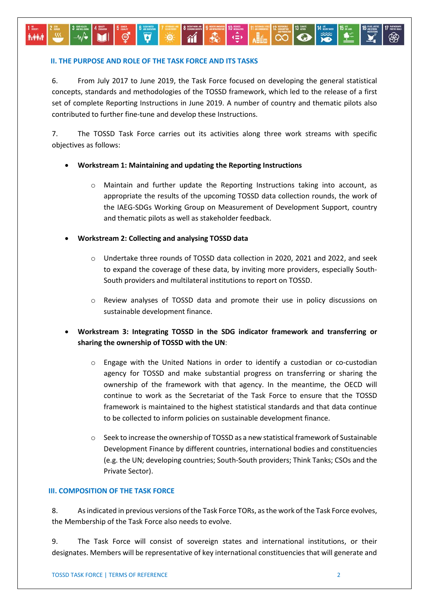### **II. THE PURPOSE AND ROLE OF THE TASK FORCE AND ITS TASKS**

**A-44-1** 

6. From July 2017 to June 2019, the Task Force focused on developing the general statistical concepts, standards and methodologies of the TOSSD framework, which led to the release of a first set of complete Reporting Instructions in June 2019. A number of country and thematic pilots also contributed to further fine-tune and develop these Instructions.

ကြိ

 $\frac{1}{10}$ 

 $\bullet$ 

7. The TOSSD Task Force carries out its activities along three work streams with specific objectives as follows:

#### **Workstream 1: Maintaining and updating the Reporting Instructions**

- o Maintain and further update the Reporting Instructions taking into account, as appropriate the results of the upcoming TOSSD data collection rounds, the work of the IAEG-SDGs Working Group on Measurement of Development Support, country and thematic pilots as well as stakeholder feedback.
- **Workstream 2: Collecting and analysing TOSSD data**
	- o Undertake three rounds of TOSSD data collection in 2020, 2021 and 2022, and seek to expand the coverage of these data, by inviting more providers, especially South-South providers and multilateral institutions to report on TOSSD.
	- o Review analyses of TOSSD data and promote their use in policy discussions on sustainable development finance.
- **Workstream 3: Integrating TOSSD in the SDG indicator framework and transferring or sharing the ownership of TOSSD with the UN**:
	- $\circ$  Engage with the United Nations in order to identify a custodian or co-custodian agency for TOSSD and make substantial progress on transferring or sharing the ownership of the framework with that agency. In the meantime, the OECD will continue to work as the Secretariat of the Task Force to ensure that the TOSSD framework is maintained to the highest statistical standards and that data continue to be collected to inform policies on sustainable development finance.
	- $\circ$  Seek to increase the ownership of TOSSD as a new statistical framework of Sustainable Development Finance by different countries, international bodies and constituencies (e.g. the UN; developing countries; South-South providers; Think Tanks; CSOs and the Private Sector).

#### **III. COMPOSITION OF THE TASK FORCE**

8. As indicated in previous versions of the Task Force TORs, as the work of the Task Force evolves, the Membership of the Task Force also needs to evolve.

9. The Task Force will consist of sovereign states and international institutions, or their designates. Members will be representative of key international constituencies that will generate and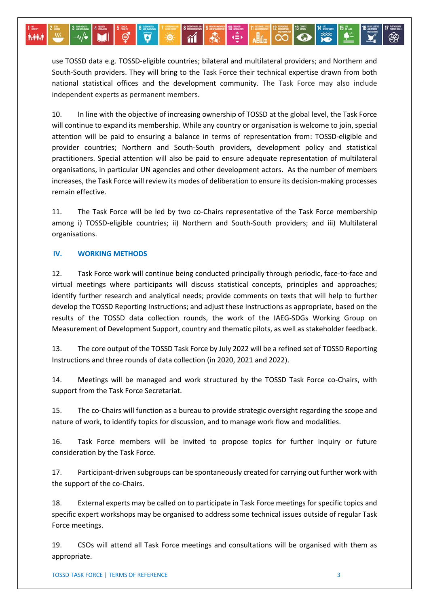use TOSSD data e.g. TOSSD-eligible countries; bilateral and multilateral providers; and Northern and South-South providers. They will bring to the Task Force their technical expertise drawn from both national statistical offices and the development community. The Task Force may also include independent experts as permanent members.

kÊk

ကြိ

 $\bullet$ 

 $ABA$ 

10. In line with the objective of increasing ownership of TOSSD at the global level, the Task Force will continue to expand its membership. While any country or organisation is welcome to join, special attention will be paid to ensuring a balance in terms of representation from: TOSSD-eligible and provider countries; Northern and South-South providers, development policy and statistical practitioners. Special attention will also be paid to ensure adequate representation of multilateral organisations, in particular UN agencies and other development actors. As the number of members increases, the Task Force will review its modes of deliberation to ensure its decision-making processes remain effective.

11. The Task Force will be led by two co-Chairs representative of the Task Force membership among i) TOSSD-eligible countries; ii) Northern and South-South providers; and iii) Multilateral organisations.

#### **IV. WORKING METHODS**

**M**i

 $-\mathbf{w}$ 

**A-44-1** 

ඒ

**O** 

 $\overline{\mathbf{a}}$ 

12. Task Force work will continue being conducted principally through periodic, face-to-face and virtual meetings where participants will discuss statistical concepts, principles and approaches; identify further research and analytical needs; provide comments on texts that will help to further develop the TOSSD Reporting Instructions; and adjust these Instructions as appropriate, based on the results of the TOSSD data collection rounds, the work of the IAEG-SDGs Working Group on Measurement of Development Support, country and thematic pilots, as well as stakeholder feedback.

13. The core output of the TOSSD Task Force by July 2022 will be a refined set of TOSSD Reporting Instructions and three rounds of data collection (in 2020, 2021 and 2022).

14. Meetings will be managed and work structured by the TOSSD Task Force co-Chairs, with support from the Task Force Secretariat.

15. The co-Chairs will function as a bureau to provide strategic oversight regarding the scope and nature of work, to identify topics for discussion, and to manage work flow and modalities.

16. Task Force members will be invited to propose topics for further inquiry or future consideration by the Task Force.

17. Participant-driven subgroups can be spontaneously created for carrying out further work with the support of the co-Chairs.

18. External experts may be called on to participate in Task Force meetings for specific topics and specific expert workshops may be organised to address some technical issues outside of regular Task Force meetings.

19. CSOs will attend all Task Force meetings and consultations will be organised with them as appropriate.